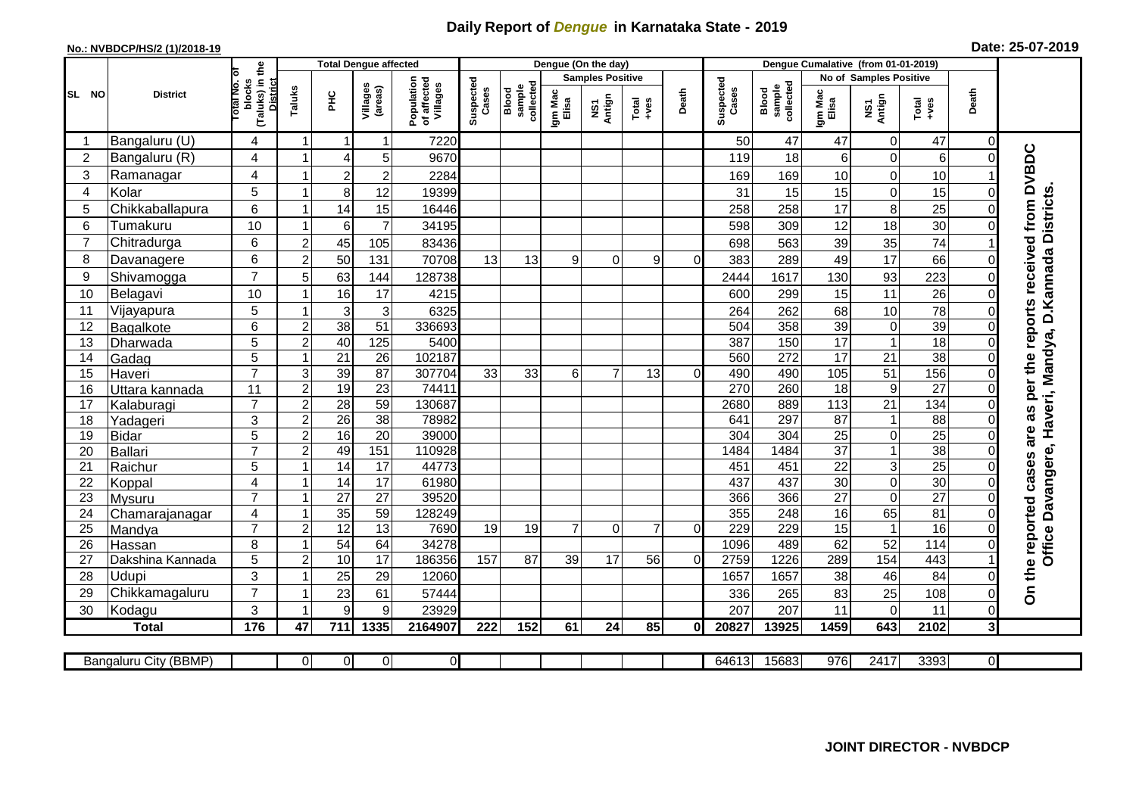## **Daily Report of** *Dengue* **in Karnataka State - 2019**

## **No.: NVBDCP/HS/2 (1)/2018-19 Date: 25-07-2019**

|                | <b>District</b>       | (Taluks) in the<br>otal No. of<br>blocks<br><b>District</b> | <b>Total Dengue affected</b> |                           |                                       |                    |                              |                  |                | Dengue (On the day)     |                |                    |                              |                  |                 |                        |                 |                         |                                                       |
|----------------|-----------------------|-------------------------------------------------------------|------------------------------|---------------------------|---------------------------------------|--------------------|------------------------------|------------------|----------------|-------------------------|----------------|--------------------|------------------------------|------------------|-----------------|------------------------|-----------------|-------------------------|-------------------------------------------------------|
|                |                       |                                                             |                              |                           |                                       |                    |                              |                  |                | <b>Samples Positive</b> |                |                    |                              |                  |                 | No of Samples Positive |                 |                         |                                                       |
| SL NO          |                       |                                                             | Taluks                       | Villages<br>(areas)<br>ĔБ | Population<br>of affected<br>Villages | Suspected<br>Cases | sample<br>collected<br>Blood | Igm Mac<br>Elisa | NS1<br>Antign  | Total<br>+ves           | Death          | Suspected<br>Cases | sample<br>collected<br>Blood | Igm Mac<br>Elisa | NS1<br>Antign   | Total<br>+ves          | Death           |                         |                                                       |
| -1             | Bangaluru (U)         | 4                                                           | -1                           | -1                        | 1                                     | 7220               |                              |                  |                |                         |                |                    | 50                           | 47               | 47              | $\overline{0}$         | 47              | $\Omega$                |                                                       |
| $\overline{2}$ | Bangaluru (R)         | 4                                                           | 1                            | 4                         | 5                                     | 9670               |                              |                  |                |                         |                |                    | 119                          | 18               | 6               | $\overline{0}$         | 6               |                         |                                                       |
| 3              | Ramanagar             | 4                                                           | 1                            | $\overline{2}$            | $\mathbf 2$                           | 2284               |                              |                  |                |                         |                |                    | 169                          | 169              | 10              | $\mathbf 0$            | 10              |                         | as per the reports received from DVBDC                |
| 4              | Kolar                 | 5                                                           | 1                            | 8 <sup>1</sup>            | 12                                    | 19399              |                              |                  |                |                         |                |                    | 31                           | 15               | 15              | $\overline{0}$         | 15              | 0                       |                                                       |
| 5              | Chikkaballapura       | 6                                                           | $\overline{\mathbf{1}}$      | 14                        | 15                                    | 16446              |                              |                  |                |                         |                |                    | 258                          | 258              | 17              | 8                      | 25              |                         |                                                       |
| 6              | Tumakuru              | 10                                                          | -1                           | 6                         | $\overline{7}$                        | 34195              |                              |                  |                |                         |                |                    | 598                          | 309              | 12              | 18                     | 30              | $\Omega$                |                                                       |
| $\overline{7}$ | Chitradurga           | 6                                                           | $\overline{2}$               | 45                        | 105                                   | 83436              |                              |                  |                |                         |                |                    | 698                          | 563              | 39              | 35                     | 74              |                         |                                                       |
| 8              | Davanagere            | 6                                                           | $\overline{c}$               | 50                        | 131                                   | 70708              | 13                           | 13               | 9              | $\Omega$                | 9              | $\Omega$           | 383                          | 289              | 49              | $\overline{17}$        | 66              | 0                       |                                                       |
| 9              | Shivamogga            | $\overline{7}$                                              | 5                            | 63                        | 144                                   | 128738             |                              |                  |                |                         |                |                    | 2444                         | 1617             | 130             | 93                     | 223             |                         | Office Davangere, Haveri, Mandya, D.Kannada Districts |
| 10             | Belagavi              | 10                                                          |                              | 16                        | 17                                    | 4215               |                              |                  |                |                         |                |                    | 600                          | 299              | 15              | 11                     | 26              |                         |                                                       |
| 11             | Vijayapura            | 5                                                           |                              | 3                         | 3                                     | 6325               |                              |                  |                |                         |                |                    | 264                          | 262              | 68              | 10                     | 78              |                         |                                                       |
| 12             | <b>Bagalkote</b>      | 6                                                           | $\overline{2}$               | 38                        | $\overline{51}$                       | 336693             |                              |                  |                |                         |                |                    | 504                          | 358              | 39              | $\overline{0}$         | 39              | $\Omega$                |                                                       |
| 13             | Dharwada              | 5                                                           | $\overline{c}$               | 40                        | 125                                   | 5400               |                              |                  |                |                         |                |                    | 387                          | 150              | 17              | $\mathbf{1}$           | 18              | $\Omega$                |                                                       |
| 14             | Gadag                 | $\overline{5}$                                              | 1                            | $\overline{21}$           | $\overline{26}$                       | 102187             |                              |                  |                |                         |                |                    | 560                          | 272              | 17              | 21                     | 38              | 0                       |                                                       |
| 15             | Haveri                | $\overline{7}$                                              | 3                            | 39                        | 87                                    | 307704             | 33                           | 33               | 6              | $\overline{7}$          | 13             | $\Omega$           | 490                          | 490              | 105             | 51                     | 156             | 0                       |                                                       |
| 16             | Uttara kannada        | $\overline{11}$                                             | $\overline{c}$               | 19                        | 23                                    | 74411              |                              |                  |                |                         |                |                    | 270                          | 260              | $\overline{18}$ | 9                      | $\overline{27}$ | $\Omega$                |                                                       |
| 17             | Kalaburagi            | $\overline{7}$                                              | $\overline{2}$               | $\overline{28}$           | 59                                    | 130687             |                              |                  |                |                         |                |                    | 2680                         | 889              | 113             | $\overline{21}$        | 134             | $\Omega$                |                                                       |
| 18             | Yadageri              | 3                                                           | 2 <sup>1</sup>               | $\overline{26}$           | 38                                    | 78982              |                              |                  |                |                         |                |                    | 641                          | 297              | 87              | 1                      | 88              |                         |                                                       |
| 19             | <b>Bidar</b>          | 5                                                           | $\overline{c}$               | 16                        | 20                                    | 39000              |                              |                  |                |                         |                |                    | 304                          | $\overline{304}$ | $\overline{25}$ | $\mathbf 0$            | $\overline{25}$ | ∩                       | are                                                   |
| 20             | <b>Ballari</b>        | $\overline{7}$                                              | $\overline{2}$               | 49                        | 151                                   | 110928             |                              |                  |                |                         |                |                    | 1484                         | 1484             | $\overline{37}$ | $\mathbf{1}$           | 38              |                         |                                                       |
| 21             | Raichur               | $\overline{5}$                                              |                              | $\overline{14}$           | $\overline{17}$                       | 44773              |                              |                  |                |                         |                |                    | 451                          | 451              | $\overline{22}$ | ω                      | $\overline{25}$ | $\Omega$                |                                                       |
| 22             | Koppal                | 4                                                           |                              | 14                        | $\overline{17}$                       | 61980              |                              |                  |                |                         |                |                    | 437                          | 437              | 30              | O                      | 30              | $\Omega$                |                                                       |
| 23             | Mysuru                | $\overline{7}$                                              |                              | 27                        | $\overline{27}$                       | 39520              |                              |                  |                |                         |                |                    | 366                          | 366              | $\overline{27}$ | $\mathbf 0$            | $\overline{27}$ | 0                       |                                                       |
| 24             | Chamarajanagar        | 4                                                           | 1                            | 35                        | 59                                    | 128249             |                              |                  |                |                         |                |                    | 355                          | 248              | 16              | 65                     | 81              |                         |                                                       |
| 25             | Mandya                | $\overline{7}$                                              | $\overline{2}$               | $\overline{12}$           | 13                                    | 7690               | 19                           | 19               | $\overline{7}$ | $\Omega$                | $\overline{7}$ | $\Omega$           | 229                          | 229              | 15              | $\mathbf{1}$           | $\overline{16}$ | $\Omega$                |                                                       |
| 26             | Hassan                | 8                                                           | $\overline{\mathbf{1}}$      | 54                        | 64                                    | 34278              |                              |                  |                |                         |                |                    | 1096                         | 489              | 62              | 52                     | 114             | $\Omega$                |                                                       |
| 27             | Dakshina Kannada      | 5                                                           | 2                            | 10                        | 17                                    | 186356             | 157                          | 87               | 39             | 17                      | 56             | $\Omega$           | 2759                         | 1226             | 289             | 154                    | 443             |                         |                                                       |
| 28             | Udupi                 | 3<br>$\overline{7}$                                         | -1                           | 25                        | 29                                    | 12060              |                              |                  |                |                         |                |                    | 1657                         | 1657             | 38              | 46                     | 84              | 0                       | On the reported cases                                 |
| 29             | Chikkamagaluru        | 3                                                           | 1<br>-1                      | 23<br>9                   | 61<br>9                               | 57444<br>23929     |                              |                  |                |                         |                |                    | 336<br>207                   | 265<br>207       | 83              | 25<br>0                | 108             | 0<br>$\Omega$           |                                                       |
| 30             | Kodagu                |                                                             |                              |                           |                                       |                    |                              |                  |                |                         |                |                    |                              |                  | 11              |                        | 11              |                         |                                                       |
|                | <b>Total</b>          | 176                                                         | 47                           | 711                       | 1335                                  | 2164907            | 222                          | 152              | 61             | 24                      | 85             | 01                 | 20827                        | 13925            | 1459            | 643                    | 2102            | $\overline{\mathbf{3}}$ |                                                       |
|                | Bangaluru City (BBMP) |                                                             | $\overline{0}$               | 0                         | $\overline{0}$                        | $\overline{0}$     |                              |                  |                |                         |                |                    | 64613                        | 15683            | 976             | 2417                   | 3393            | $\overline{0}$          |                                                       |